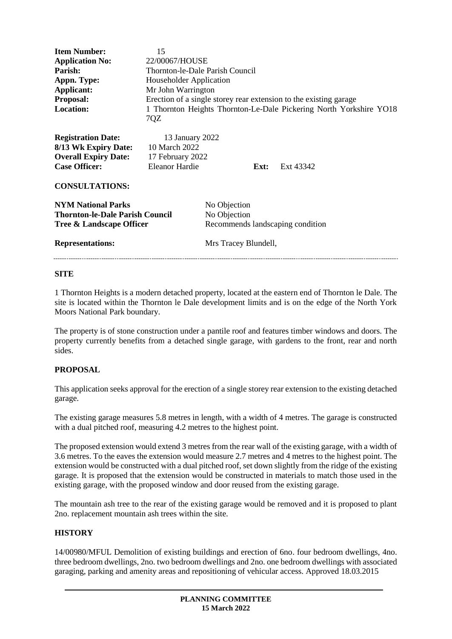| <b>Item Number:</b><br><b>Application No:</b><br>Parish:<br>Appn. Type:<br>Applicant:<br><b>Proposal:</b><br><b>Location:</b>     | 15<br>22/00067/HOUSE<br>Thornton-le-Dale Parish Council<br>Householder Application<br>Mr John Warrington<br>7QZ |                                                                                          |      | Erection of a single storey rear extension to the existing garage<br>1 Thornton Heights Thornton-Le-Dale Pickering North Yorkshire YO18 |
|-----------------------------------------------------------------------------------------------------------------------------------|-----------------------------------------------------------------------------------------------------------------|------------------------------------------------------------------------------------------|------|-----------------------------------------------------------------------------------------------------------------------------------------|
| <b>Registration Date:</b><br>8/13 Wk Expiry Date:<br><b>Overall Expiry Date:</b><br><b>Case Officer:</b><br><b>CONSULTATIONS:</b> | 13 January 2022<br>10 March 2022<br>17 February 2022<br><b>Eleanor Hardie</b>                                   |                                                                                          | Ext: | Ext 43342                                                                                                                               |
| <b>NYM National Parks</b><br><b>Thornton-le-Dale Parish Council</b><br>Tree & Landscape Officer<br><b>Representations:</b>        |                                                                                                                 | No Objection<br>No Objection<br>Recommends landscaping condition<br>Mrs Tracey Blundell, |      |                                                                                                                                         |
|                                                                                                                                   |                                                                                                                 |                                                                                          |      |                                                                                                                                         |

## **SITE**

1 Thornton Heights is a modern detached property, located at the eastern end of Thornton le Dale. The site is located within the Thornton le Dale development limits and is on the edge of the North York Moors National Park boundary.

The property is of stone construction under a pantile roof and features timber windows and doors. The property currently benefits from a detached single garage, with gardens to the front, rear and north sides.

# **PROPOSAL**

This application seeks approval for the erection of a single storey rear extension to the existing detached garage.

The existing garage measures 5.8 metres in length, with a width of 4 metres. The garage is constructed with a dual pitched roof, measuring 4.2 metres to the highest point.

The proposed extension would extend 3 metres from the rear wall of the existing garage, with a width of 3.6 metres. To the eaves the extension would measure 2.7 metres and 4 metres to the highest point. The extension would be constructed with a dual pitched roof, set down slightly from the ridge of the existing garage. It is proposed that the extension would be constructed in materials to match those used in the existing garage, with the proposed window and door reused from the existing garage.

The mountain ash tree to the rear of the existing garage would be removed and it is proposed to plant 2no. replacement mountain ash trees within the site.

#### **HISTORY**

14/00980/MFUL Demolition of existing buildings and erection of 6no. four bedroom dwellings, 4no. three bedroom dwellings, 2no. two bedroom dwellings and 2no. one bedroom dwellings with associated garaging, parking and amenity areas and repositioning of vehicular access. Approved 18.03.2015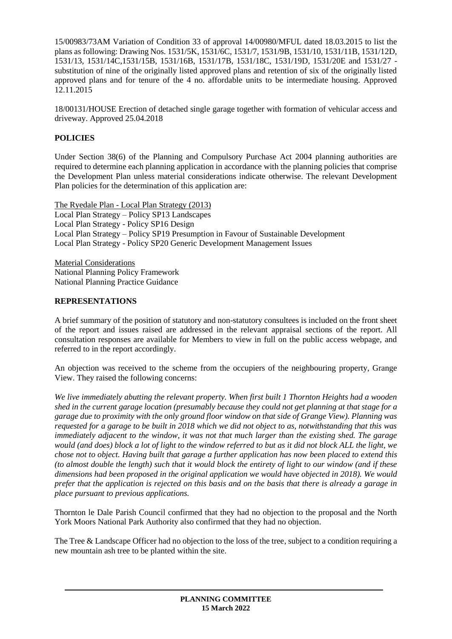15/00983/73AM Variation of Condition 33 of approval 14/00980/MFUL dated 18.03.2015 to list the plans as following: Drawing Nos. 1531/5K, 1531/6C, 1531/7, 1531/9B, 1531/10, 1531/11B, 1531/12D, 1531/13, 1531/14C,1531/15B, 1531/16B, 1531/17B, 1531/18C, 1531/19D, 1531/20E and 1531/27 substitution of nine of the originally listed approved plans and retention of six of the originally listed approved plans and for tenure of the 4 no. affordable units to be intermediate housing. Approved 12.11.2015

18/00131/HOUSE Erection of detached single garage together with formation of vehicular access and driveway. Approved 25.04.2018

# **POLICIES**

Under Section 38(6) of the Planning and Compulsory Purchase Act 2004 planning authorities are required to determine each planning application in accordance with the planning policies that comprise the Development Plan unless material considerations indicate otherwise. The relevant Development Plan policies for the determination of this application are:

The Ryedale Plan - Local Plan Strategy (2013) Local Plan Strategy – Policy SP13 Landscapes Local Plan Strategy - Policy SP16 Design Local Plan Strategy – Policy SP19 Presumption in Favour of Sustainable Development Local Plan Strategy - Policy SP20 Generic Development Management Issues

Material Considerations National Planning Policy Framework National Planning Practice Guidance

## **REPRESENTATIONS**

A brief summary of the position of statutory and non-statutory consultees is included on the front sheet of the report and issues raised are addressed in the relevant appraisal sections of the report. All consultation responses are available for Members to view in full on the public access webpage, and referred to in the report accordingly.

An objection was received to the scheme from the occupiers of the neighbouring property, Grange View. They raised the following concerns:

*We live immediately abutting the relevant property. When first built 1 Thornton Heights had a wooden shed in the current garage location (presumably because they could not get planning at that stage for a garage due to proximity with the only ground floor window on that side of Grange View). Planning was requested for a garage to be built in 2018 which we did not object to as, notwithstanding that this was immediately adjacent to the window, it was not that much larger than the existing shed. The garage would (and does) block a lot of light to the window referred to but as it did not block ALL the light, we chose not to object. Having built that garage a further application has now been placed to extend this (to almost double the length) such that it would block the entirety of light to our window (and if these dimensions had been proposed in the original application we would have objected in 2018). We would prefer that the application is rejected on this basis and on the basis that there is already a garage in place pursuant to previous applications.*

Thornton le Dale Parish Council confirmed that they had no objection to the proposal and the North York Moors National Park Authority also confirmed that they had no objection.

The Tree & Landscape Officer had no objection to the loss of the tree, subject to a condition requiring a new mountain ash tree to be planted within the site.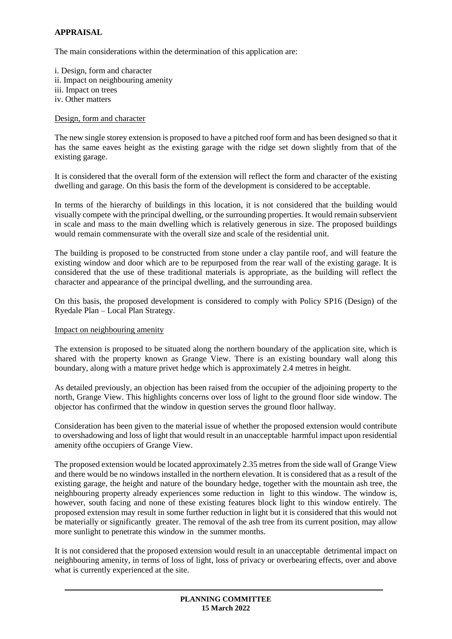## **APPRAISAL**

The main considerations within the determination of this application are:

i. Design, form and character ii. Impact on neighbouring amenity iii. Impact on trees iv. Other matters

## Design, form and character

The new single storey extension is proposed to have a pitched roof form and has been designed so that it has the same eaves height as the existing garage with the ridge set down slightly from that of the existing garage.

It is considered that the overall form of the extension will reflect the form and character of the existing dwelling and garage. On this basis the form of the development is considered to be acceptable.

In terms of the hierarchy of buildings in this location, it is not considered that the building would visually compete with the principal dwelling, or the surrounding properties. It would remain subservient in scale and mass to the main dwelling which is relatively generous in size. The proposed buildings would remain commensurate with the overall size and scale of the residential unit.

The building is proposed to be constructed from stone under a clay pantile roof, and will feature the existing window and door which are to be repurposed from the rear wall of the existing garage. It is considered that the use of these traditional materials is appropriate, as the building will reflect the character and appearance of the principal dwelling, and the surrounding area.

On this basis, the proposed development is considered to comply with Policy SP16 (Design) of the Ryedale Plan – Local Plan Strategy.

#### Impact on neighbouring amenity

The extension is proposed to be situated along the northern boundary of the application site, which is shared with the property known as Grange View. There is an existing boundary wall along this boundary, along with a mature privet hedge which is approximately 2.4 metres in height.

As detailed previously, an objection has been raised from the occupier of the adjoining property to the north, Grange View. This highlights concerns over loss of light to the ground floor side window. The objector has confirmed that the window in question serves the ground floor hallway.

Consideration has been given to the material issue of whether the proposed extension would contribute to overshadowing and loss of light that would result in an unacceptable harmful impact upon residential amenity ofthe occupiers of Grange View.

The proposed extension would be located approximately 2.35 metres from the side wall of Grange View and there would be no windows installed in the northern elevation. It is considered that as a result of the existing garage, the height and nature of the boundary hedge, together with the mountain ash tree, the neighbouring property already experiences some reduction in light to this window. The window is, however, south facing and none of these existing features block light to this window entirely. The proposed extension may result in some further reduction in light but it is considered that this would not be materially or significantly greater. The removal of the ash tree from its current position, may allow more sunlight to penetrate this window in the summer months.

It is not considered that the proposed extension would result in an unacceptable detrimental impact on neighbouring amenity, in terms of loss of light, loss of privacy or overbearing effects, over and above what is currently experienced at the site.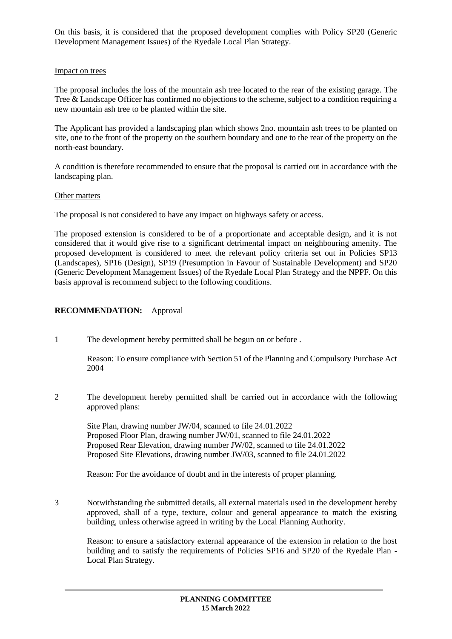On this basis, it is considered that the proposed development complies with Policy SP20 (Generic Development Management Issues) of the Ryedale Local Plan Strategy.

#### Impact on trees

The proposal includes the loss of the mountain ash tree located to the rear of the existing garage. The Tree & Landscape Officer has confirmed no objections to the scheme, subject to a condition requiring a new mountain ash tree to be planted within the site.

The Applicant has provided a landscaping plan which shows 2no. mountain ash trees to be planted on site, one to the front of the property on the southern boundary and one to the rear of the property on the north-east boundary.

A condition is therefore recommended to ensure that the proposal is carried out in accordance with the landscaping plan.

## Other matters

The proposal is not considered to have any impact on highways safety or access.

The proposed extension is considered to be of a proportionate and acceptable design, and it is not considered that it would give rise to a significant detrimental impact on neighbouring amenity. The proposed development is considered to meet the relevant policy criteria set out in Policies SP13 (Landscapes), SP16 (Design), SP19 (Presumption in Favour of Sustainable Development) and SP20 (Generic Development Management Issues) of the Ryedale Local Plan Strategy and the NPPF. On this basis approval is recommend subject to the following conditions.

## **RECOMMENDATION:** Approval

1 The development hereby permitted shall be begun on or before .

Reason: To ensure compliance with Section 51 of the Planning and Compulsory Purchase Act 2004

2 The development hereby permitted shall be carried out in accordance with the following approved plans:

Site Plan, drawing number JW/04, scanned to file 24.01.2022 Proposed Floor Plan, drawing number JW/01, scanned to file 24.01.2022 Proposed Rear Elevation, drawing number JW/02, scanned to file 24.01.2022 Proposed Site Elevations, drawing number JW/03, scanned to file 24.01.2022

Reason: For the avoidance of doubt and in the interests of proper planning.

3 Notwithstanding the submitted details, all external materials used in the development hereby approved, shall of a type, texture, colour and general appearance to match the existing building, unless otherwise agreed in writing by the Local Planning Authority.

Reason: to ensure a satisfactory external appearance of the extension in relation to the host building and to satisfy the requirements of Policies SP16 and SP20 of the Ryedale Plan - Local Plan Strategy.